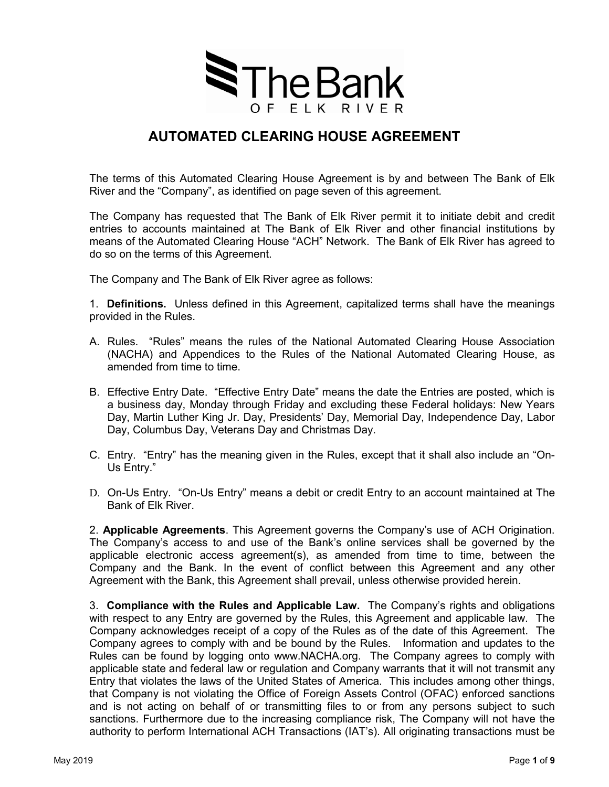

## **AUTOMATED CLEARING HOUSE AGREEMENT**

The terms of this Automated Clearing House Agreement is by and between The Bank of Elk River and the "Company", as identified on page seven of this agreement.

The Company has requested that The Bank of Elk River permit it to initiate debit and credit entries to accounts maintained at The Bank of Elk River and other financial institutions by means of the Automated Clearing House "ACH" Network. The Bank of Elk River has agreed to do so on the terms of this Agreement.

The Company and The Bank of Elk River agree as follows:

1. **Definitions.** Unless defined in this Agreement, capitalized terms shall have the meanings provided in the Rules.

- A. Rules. "Rules" means the rules of the National Automated Clearing House Association (NACHA) and Appendices to the Rules of the National Automated Clearing House, as amended from time to time.
- B. Effective Entry Date. "Effective Entry Date" means the date the Entries are posted, which is a business day, Monday through Friday and excluding these Federal holidays: New Years Day, Martin Luther King Jr. Day, Presidents' Day, Memorial Day, Independence Day, Labor Day, Columbus Day, Veterans Day and Christmas Day.
- C. Entry. "Entry" has the meaning given in the Rules, except that it shall also include an "On-Us Entry."
- D. On-Us Entry. "On-Us Entry" means a debit or credit Entry to an account maintained at The Bank of Elk River.

2. **Applicable Agreements**. This Agreement governs the Company's use of ACH Origination. The Company's access to and use of the Bank's online services shall be governed by the applicable electronic access agreement(s), as amended from time to time, between the Company and the Bank. In the event of conflict between this Agreement and any other Agreement with the Bank, this Agreement shall prevail, unless otherwise provided herein.

3. **Compliance with the Rules and Applicable Law.** The Company's rights and obligations with respect to any Entry are governed by the Rules, this Agreement and applicable law. The Company acknowledges receipt of a copy of the Rules as of the date of this Agreement. The Company agrees to comply with and be bound by the Rules. Information and updates to the Rules can be found by logging onto www.NACHA.org. The Company agrees to comply with applicable state and federal law or regulation and Company warrants that it will not transmit any Entry that violates the laws of the United States of America. This includes among other things, that Company is not violating the Office of Foreign Assets Control (OFAC) enforced sanctions and is not acting on behalf of or transmitting files to or from any persons subject to such sanctions. Furthermore due to the increasing compliance risk, The Company will not have the authority to perform International ACH Transactions (IAT's). All originating transactions must be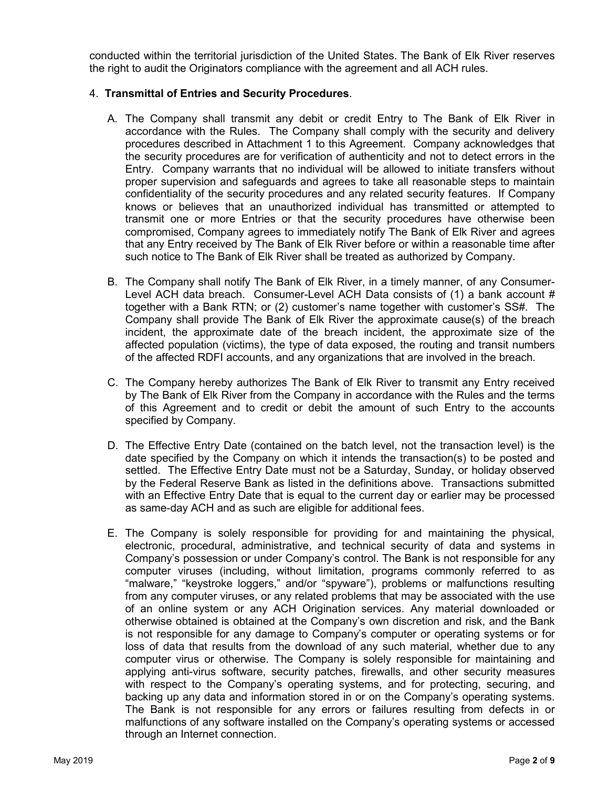conducted within the territorial jurisdiction of the United States. The Bank of Elk River reserves the right to audit the Originators compliance with the agreement and all ACH rules.

#### 4. **Transmittal of Entries and Security Procedures**.

- A. The Company shall transmit any debit or credit Entry to The Bank of Elk River in accordance with the Rules. The Company shall comply with the security and delivery procedures described in Attachment 1 to this Agreement. Company acknowledges that the security procedures are for verification of authenticity and not to detect errors in the Entry. Company warrants that no individual will be allowed to initiate transfers without proper supervision and safeguards and agrees to take all reasonable steps to maintain confidentiality of the security procedures and any related security features. If Company knows or believes that an unauthorized individual has transmitted or attempted to transmit one or more Entries or that the security procedures have otherwise been compromised, Company agrees to immediately notify The Bank of Elk River and agrees that any Entry received by The Bank of Elk River before or within a reasonable time after such notice to The Bank of Elk River shall be treated as authorized by Company.
- B. The Company shall notify The Bank of Elk River, in a timely manner, of any Consumer-Level ACH data breach. Consumer-Level ACH Data consists of (1) a bank account # together with a Bank RTN; or (2) customer's name together with customer's SS#. The Company shall provide The Bank of Elk River the approximate cause(s) of the breach incident, the approximate date of the breach incident, the approximate size of the affected population (victims), the type of data exposed, the routing and transit numbers of the affected RDFI accounts, and any organizations that are involved in the breach.
- C. The Company hereby authorizes The Bank of Elk River to transmit any Entry received by The Bank of Elk River from the Company in accordance with the Rules and the terms of this Agreement and to credit or debit the amount of such Entry to the accounts specified by Company.
- D. The Effective Entry Date (contained on the batch level, not the transaction level) is the date specified by the Company on which it intends the transaction(s) to be posted and settled. The Effective Entry Date must not be a Saturday, Sunday, or holiday observed by the Federal Reserve Bank as listed in the definitions above. Transactions submitted with an Effective Entry Date that is equal to the current day or earlier may be processed as same-day ACH and as such are eligible for additional fees.
- E. The Company is solely responsible for providing for and maintaining the physical, electronic, procedural, administrative, and technical security of data and systems in Company's possession or under Company's control. The Bank is not responsible for any computer viruses (including, without limitation, programs commonly referred to as "malware," "keystroke loggers," and/or "spyware"), problems or malfunctions resulting from any computer viruses, or any related problems that may be associated with the use of an online system or any ACH Origination services. Any material downloaded or otherwise obtained is obtained at the Company's own discretion and risk, and the Bank is not responsible for any damage to Company's computer or operating systems or for loss of data that results from the download of any such material, whether due to any computer virus or otherwise. The Company is solely responsible for maintaining and applying anti-virus software, security patches, firewalls, and other security measures with respect to the Company's operating systems, and for protecting, securing, and backing up any data and information stored in or on the Company's operating systems. The Bank is not responsible for any errors or failures resulting from defects in or malfunctions of any software installed on the Company's operating systems or accessed through an Internet connection.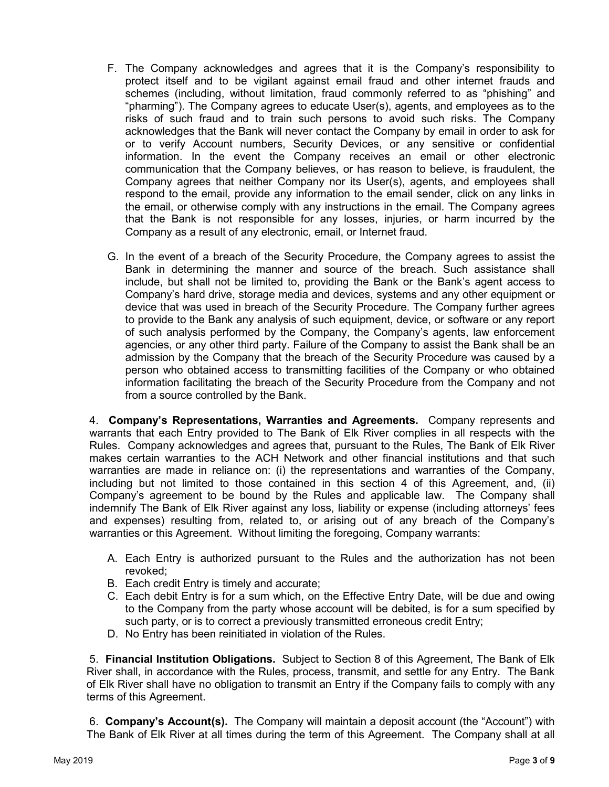- F. The Company acknowledges and agrees that it is the Company's responsibility to protect itself and to be vigilant against email fraud and other internet frauds and schemes (including, without limitation, fraud commonly referred to as "phishing" and "pharming"). The Company agrees to educate User(s), agents, and employees as to the risks of such fraud and to train such persons to avoid such risks. The Company acknowledges that the Bank will never contact the Company by email in order to ask for or to verify Account numbers, Security Devices, or any sensitive or confidential information. In the event the Company receives an email or other electronic communication that the Company believes, or has reason to believe, is fraudulent, the Company agrees that neither Company nor its User(s), agents, and employees shall respond to the email, provide any information to the email sender, click on any links in the email, or otherwise comply with any instructions in the email. The Company agrees that the Bank is not responsible for any losses, injuries, or harm incurred by the Company as a result of any electronic, email, or Internet fraud.
- G. In the event of a breach of the Security Procedure, the Company agrees to assist the Bank in determining the manner and source of the breach. Such assistance shall include, but shall not be limited to, providing the Bank or the Bank's agent access to Company's hard drive, storage media and devices, systems and any other equipment or device that was used in breach of the Security Procedure. The Company further agrees to provide to the Bank any analysis of such equipment, device, or software or any report of such analysis performed by the Company, the Company's agents, law enforcement agencies, or any other third party. Failure of the Company to assist the Bank shall be an admission by the Company that the breach of the Security Procedure was caused by a person who obtained access to transmitting facilities of the Company or who obtained information facilitating the breach of the Security Procedure from the Company and not from a source controlled by the Bank.

4. **Company's Representations, Warranties and Agreements.** Company represents and warrants that each Entry provided to The Bank of Elk River complies in all respects with the Rules. Company acknowledges and agrees that, pursuant to the Rules, The Bank of Elk River makes certain warranties to the ACH Network and other financial institutions and that such warranties are made in reliance on: (i) the representations and warranties of the Company, including but not limited to those contained in this section 4 of this Agreement, and, (ii) Company's agreement to be bound by the Rules and applicable law. The Company shall indemnify The Bank of Elk River against any loss, liability or expense (including attorneys' fees and expenses) resulting from, related to, or arising out of any breach of the Company's warranties or this Agreement. Without limiting the foregoing, Company warrants:

- A. Each Entry is authorized pursuant to the Rules and the authorization has not been revoked;
- B. Each credit Entry is timely and accurate;
- C. Each debit Entry is for a sum which, on the Effective Entry Date, will be due and owing to the Company from the party whose account will be debited, is for a sum specified by such party, or is to correct a previously transmitted erroneous credit Entry;
- D. No Entry has been reinitiated in violation of the Rules.

5. **Financial Institution Obligations.** Subject to Section 8 of this Agreement, The Bank of Elk River shall, in accordance with the Rules, process, transmit, and settle for any Entry. The Bank of Elk River shall have no obligation to transmit an Entry if the Company fails to comply with any terms of this Agreement.

6. **Company's Account(s).** The Company will maintain a deposit account (the "Account") with The Bank of Elk River at all times during the term of this Agreement. The Company shall at all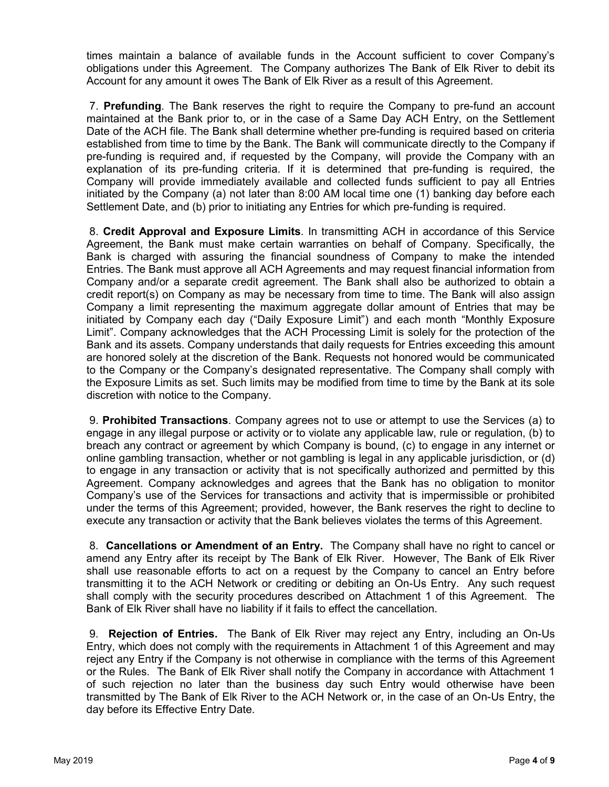times maintain a balance of available funds in the Account sufficient to cover Company's obligations under this Agreement. The Company authorizes The Bank of Elk River to debit its Account for any amount it owes The Bank of Elk River as a result of this Agreement.

7. **Prefunding**. The Bank reserves the right to require the Company to pre-fund an account maintained at the Bank prior to, or in the case of a Same Day ACH Entry, on the Settlement Date of the ACH file. The Bank shall determine whether pre-funding is required based on criteria established from time to time by the Bank. The Bank will communicate directly to the Company if pre-funding is required and, if requested by the Company, will provide the Company with an explanation of its pre-funding criteria. If it is determined that pre-funding is required, the Company will provide immediately available and collected funds sufficient to pay all Entries initiated by the Company (a) not later than 8:00 AM local time one (1) banking day before each Settlement Date, and (b) prior to initiating any Entries for which pre-funding is required.

8. **Credit Approval and Exposure Limits**. In transmitting ACH in accordance of this Service Agreement, the Bank must make certain warranties on behalf of Company. Specifically, the Bank is charged with assuring the financial soundness of Company to make the intended Entries. The Bank must approve all ACH Agreements and may request financial information from Company and/or a separate credit agreement. The Bank shall also be authorized to obtain a credit report(s) on Company as may be necessary from time to time. The Bank will also assign Company a limit representing the maximum aggregate dollar amount of Entries that may be initiated by Company each day ("Daily Exposure Limit") and each month "Monthly Exposure Limit". Company acknowledges that the ACH Processing Limit is solely for the protection of the Bank and its assets. Company understands that daily requests for Entries exceeding this amount are honored solely at the discretion of the Bank. Requests not honored would be communicated to the Company or the Company's designated representative. The Company shall comply with the Exposure Limits as set. Such limits may be modified from time to time by the Bank at its sole discretion with notice to the Company.

9. **Prohibited Transactions**. Company agrees not to use or attempt to use the Services (a) to engage in any illegal purpose or activity or to violate any applicable law, rule or regulation, (b) to breach any contract or agreement by which Company is bound, (c) to engage in any internet or online gambling transaction, whether or not gambling is legal in any applicable jurisdiction, or (d) to engage in any transaction or activity that is not specifically authorized and permitted by this Agreement. Company acknowledges and agrees that the Bank has no obligation to monitor Company's use of the Services for transactions and activity that is impermissible or prohibited under the terms of this Agreement; provided, however, the Bank reserves the right to decline to execute any transaction or activity that the Bank believes violates the terms of this Agreement.

8. **Cancellations or Amendment of an Entry.** The Company shall have no right to cancel or amend any Entry after its receipt by The Bank of Elk River. However, The Bank of Elk River shall use reasonable efforts to act on a request by the Company to cancel an Entry before transmitting it to the ACH Network or crediting or debiting an On-Us Entry. Any such request shall comply with the security procedures described on Attachment 1 of this Agreement. The Bank of Elk River shall have no liability if it fails to effect the cancellation.

9. **Rejection of Entries.** The Bank of Elk River may reject any Entry, including an On-Us Entry, which does not comply with the requirements in Attachment 1 of this Agreement and may reject any Entry if the Company is not otherwise in compliance with the terms of this Agreement or the Rules. The Bank of Elk River shall notify the Company in accordance with Attachment 1 of such rejection no later than the business day such Entry would otherwise have been transmitted by The Bank of Elk River to the ACH Network or, in the case of an On-Us Entry, the day before its Effective Entry Date.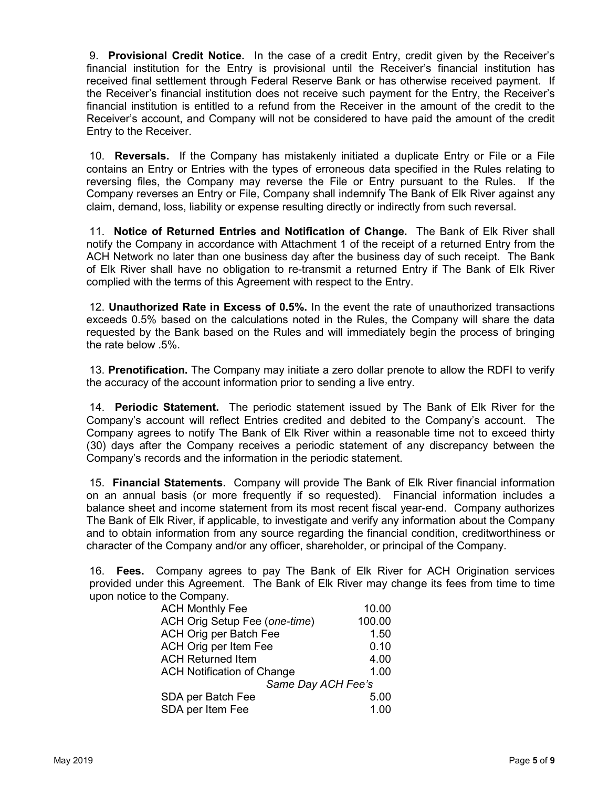9. **Provisional Credit Notice.** In the case of a credit Entry, credit given by the Receiver's financial institution for the Entry is provisional until the Receiver's financial institution has received final settlement through Federal Reserve Bank or has otherwise received payment. If the Receiver's financial institution does not receive such payment for the Entry, the Receiver's financial institution is entitled to a refund from the Receiver in the amount of the credit to the Receiver's account, and Company will not be considered to have paid the amount of the credit Entry to the Receiver.

10. **Reversals.** If the Company has mistakenly initiated a duplicate Entry or File or a File contains an Entry or Entries with the types of erroneous data specified in the Rules relating to reversing files, the Company may reverse the File or Entry pursuant to the Rules. If the Company reverses an Entry or File, Company shall indemnify The Bank of Elk River against any claim, demand, loss, liability or expense resulting directly or indirectly from such reversal.

11. **Notice of Returned Entries and Notification of Change.** The Bank of Elk River shall notify the Company in accordance with Attachment 1 of the receipt of a returned Entry from the ACH Network no later than one business day after the business day of such receipt. The Bank of Elk River shall have no obligation to re-transmit a returned Entry if The Bank of Elk River complied with the terms of this Agreement with respect to the Entry.

12. **Unauthorized Rate in Excess of 0.5%.** In the event the rate of unauthorized transactions exceeds 0.5% based on the calculations noted in the Rules, the Company will share the data requested by the Bank based on the Rules and will immediately begin the process of bringing the rate below .5%.

13. **Prenotification.** The Company may initiate a zero dollar prenote to allow the RDFI to verify the accuracy of the account information prior to sending a live entry.

14. **Periodic Statement.** The periodic statement issued by The Bank of Elk River for the Company's account will reflect Entries credited and debited to the Company's account. The Company agrees to notify The Bank of Elk River within a reasonable time not to exceed thirty (30) days after the Company receives a periodic statement of any discrepancy between the Company's records and the information in the periodic statement.

15. **Financial Statements.** Company will provide The Bank of Elk River financial information on an annual basis (or more frequently if so requested). Financial information includes a balance sheet and income statement from its most recent fiscal year-end. Company authorizes The Bank of Elk River, if applicable, to investigate and verify any information about the Company and to obtain information from any source regarding the financial condition, creditworthiness or character of the Company and/or any officer, shareholder, or principal of the Company.

16. **Fees.** Company agrees to pay The Bank of Elk River for ACH Origination services provided under this Agreement. The Bank of Elk River may change its fees from time to time upon notice to the Company.

| <b>ACH Monthly Fee</b>            | 10.00  |
|-----------------------------------|--------|
| ACH Orig Setup Fee (one-time)     | 100.00 |
| ACH Orig per Batch Fee            | 1.50   |
| ACH Orig per Item Fee             | 0.10   |
| <b>ACH Returned Item</b>          | 4.00   |
| <b>ACH Notification of Change</b> | 1.00   |
| Same Day ACH Fee's                |        |
| SDA per Batch Fee                 | 5.00   |
| SDA per Item Fee                  | 1.00   |
|                                   |        |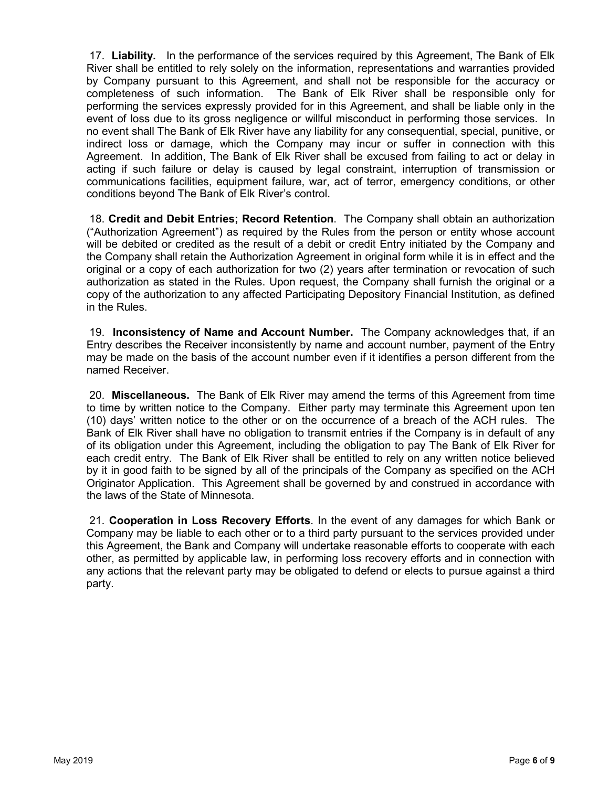17. **Liability.** In the performance of the services required by this Agreement, The Bank of Elk River shall be entitled to rely solely on the information, representations and warranties provided by Company pursuant to this Agreement, and shall not be responsible for the accuracy or completeness of such information. The Bank of Elk River shall be responsible only for performing the services expressly provided for in this Agreement, and shall be liable only in the event of loss due to its gross negligence or willful misconduct in performing those services. In no event shall The Bank of Elk River have any liability for any consequential, special, punitive, or indirect loss or damage, which the Company may incur or suffer in connection with this Agreement. In addition, The Bank of Elk River shall be excused from failing to act or delay in acting if such failure or delay is caused by legal constraint, interruption of transmission or communications facilities, equipment failure, war, act of terror, emergency conditions, or other conditions beyond The Bank of Elk River's control.

18. **Credit and Debit Entries; Record Retention**. The Company shall obtain an authorization ("Authorization Agreement") as required by the Rules from the person or entity whose account will be debited or credited as the result of a debit or credit Entry initiated by the Company and the Company shall retain the Authorization Agreement in original form while it is in effect and the original or a copy of each authorization for two (2) years after termination or revocation of such authorization as stated in the Rules. Upon request, the Company shall furnish the original or a copy of the authorization to any affected Participating Depository Financial Institution, as defined in the Rules.

19. **Inconsistency of Name and Account Number.** The Company acknowledges that, if an Entry describes the Receiver inconsistently by name and account number, payment of the Entry may be made on the basis of the account number even if it identifies a person different from the named Receiver.

20. **Miscellaneous.** The Bank of Elk River may amend the terms of this Agreement from time to time by written notice to the Company. Either party may terminate this Agreement upon ten (10) days' written notice to the other or on the occurrence of a breach of the ACH rules. The Bank of Elk River shall have no obligation to transmit entries if the Company is in default of any of its obligation under this Agreement, including the obligation to pay The Bank of Elk River for each credit entry. The Bank of Elk River shall be entitled to rely on any written notice believed by it in good faith to be signed by all of the principals of the Company as specified on the ACH Originator Application. This Agreement shall be governed by and construed in accordance with the laws of the State of Minnesota.

21. **Cooperation in Loss Recovery Efforts**. In the event of any damages for which Bank or Company may be liable to each other or to a third party pursuant to the services provided under this Agreement, the Bank and Company will undertake reasonable efforts to cooperate with each other, as permitted by applicable law, in performing loss recovery efforts and in connection with any actions that the relevant party may be obligated to defend or elects to pursue against a third party.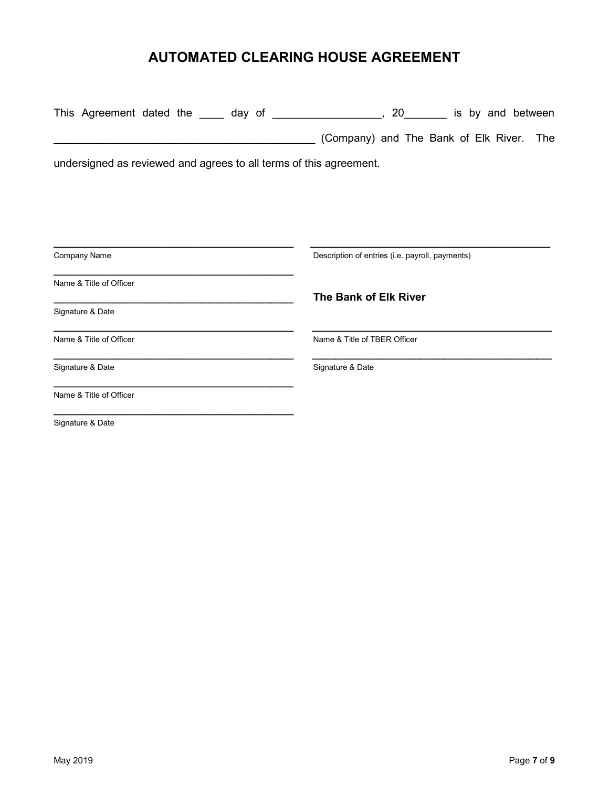# **AUTOMATED CLEARING HOUSE AGREEMENT**

|                  | This Agreement dated the _____ day of |  |  |                                                                    | 20 |  | is by and between |  |
|------------------|---------------------------------------|--|--|--------------------------------------------------------------------|----|--|-------------------|--|
|                  |                                       |  |  | (Company) and The Bank of Elk River. The                           |    |  |                   |  |
|                  |                                       |  |  | undersigned as reviewed and agrees to all terms of this agreement. |    |  |                   |  |
|                  |                                       |  |  |                                                                    |    |  |                   |  |
|                  |                                       |  |  |                                                                    |    |  |                   |  |
| Company Name     |                                       |  |  | Description of entries (i.e. payroll, payments)                    |    |  |                   |  |
|                  | Name & Title of Officer               |  |  | The Bank of Elk River                                              |    |  |                   |  |
| Signature & Date |                                       |  |  |                                                                    |    |  |                   |  |
|                  | Name & Title of Officer               |  |  | Name & Title of TBER Officer                                       |    |  |                   |  |
| Signature & Date |                                       |  |  | Signature & Date                                                   |    |  |                   |  |
|                  | Name & Title of Officer               |  |  |                                                                    |    |  |                   |  |
| Signature & Date |                                       |  |  |                                                                    |    |  |                   |  |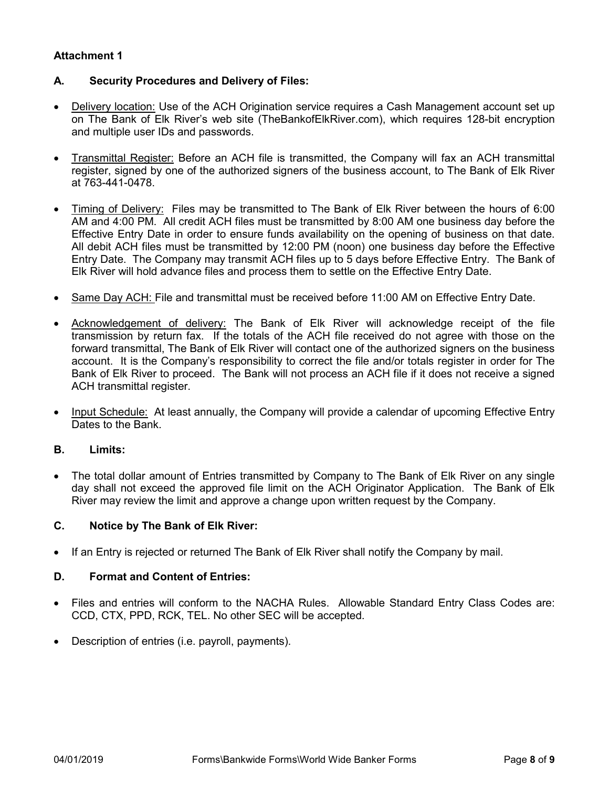### **Attachment 1**

### **A. Security Procedures and Delivery of Files:**

- Delivery location: Use of the ACH Origination service requires a Cash Management account set up on The Bank of Elk River's web site (TheBankofElkRiver.com), which requires 128-bit encryption and multiple user IDs and passwords.
- Transmittal Register: Before an ACH file is transmitted, the Company will fax an ACH transmittal register, signed by one of the authorized signers of the business account, to The Bank of Elk River at 763-441-0478.
- Timing of Delivery: Files may be transmitted to The Bank of Elk River between the hours of 6:00 AM and 4:00 PM. All credit ACH files must be transmitted by 8:00 AM one business day before the Effective Entry Date in order to ensure funds availability on the opening of business on that date. All debit ACH files must be transmitted by 12:00 PM (noon) one business day before the Effective Entry Date. The Company may transmit ACH files up to 5 days before Effective Entry. The Bank of Elk River will hold advance files and process them to settle on the Effective Entry Date.
- Same Day ACH: File and transmittal must be received before 11:00 AM on Effective Entry Date.
- Acknowledgement of delivery: The Bank of Elk River will acknowledge receipt of the file transmission by return fax. If the totals of the ACH file received do not agree with those on the forward transmittal, The Bank of Elk River will contact one of the authorized signers on the business account. It is the Company's responsibility to correct the file and/or totals register in order for The Bank of Elk River to proceed. The Bank will not process an ACH file if it does not receive a signed ACH transmittal register.
- Input Schedule: At least annually, the Company will provide a calendar of upcoming Effective Entry Dates to the Bank.

### **B. Limits:**

The total dollar amount of Entries transmitted by Company to The Bank of Elk River on any single day shall not exceed the approved file limit on the ACH Originator Application. The Bank of Elk River may review the limit and approve a change upon written request by the Company.

### **C. Notice by The Bank of Elk River:**

• If an Entry is rejected or returned The Bank of Elk River shall notify the Company by mail.

### **D. Format and Content of Entries:**

- Files and entries will conform to the NACHA Rules. Allowable Standard Entry Class Codes are: CCD, CTX, PPD, RCK, TEL. No other SEC will be accepted.
- Description of entries (i.e. payroll, payments).